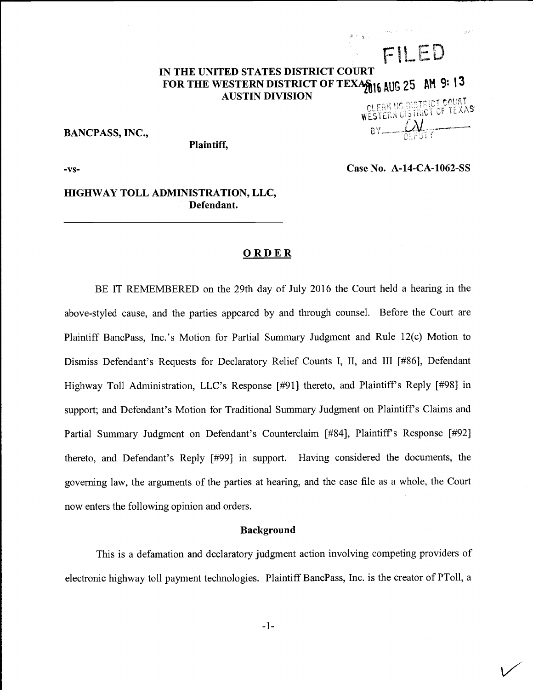# IN THE UNITED STATES DISTRICT COURT FOR THE WESTERN DISTRICT OF TEXAVILLE AUG 25 AM 9: 13 AUSTIN DIVISION

 $BANCPASS, INC.,$ 

FILED

Plaintiff,

 $-vs-$ 

Case No. A-14-CA-1062-SS

 $\vee$ 

# HIGHWAY TOLL ADMINISTRATION, LLC, Defendant.

#### **ORDER**

BE IT REMEMBERED on the 29th day of July 2016 the Court held a hearing in the above-styled cause, and the parties appeared by and through counsel. Before the Court are Plaintiff BancPass, Inc.'s Motion for Partial Summary Judgment and Rule 12(c) Motion to Dismiss Defendant's Requests for Declaratory Relief Counts I, II, and III [#86], Defendant Highway Toll Administration, LLC's Response [#91] thereto, and Plaintiff's Reply [#98] in support; and Defendant's Motion for Traditional Summary Judgment on Plaintiff's Claims and Partial Summary Judgment on Defendant's Counterclaim [#84], Plaintiff's Response [#92] thereto, and Defendant's Reply [#99] in support. Having considered the documents, the governing law, the arguments of the parties at hearing, and the case file as a whole, the Court now enters the following opinion and orders.

## Background

This is a defamation and declaratory judgment action involving competing providers of electronic highway toll payment technologies. Plaintiff BancPass, Inc. is the creator of PTo11, a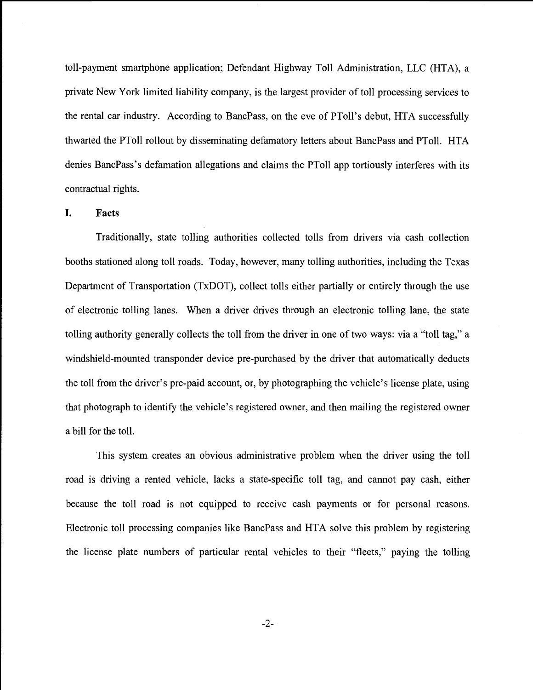toll-payment smartphone application; Defendant Highway Toll Administration, LLC (HTA), a private New York limited liability company, is the largest provider of toll processing services to the rental car industry. According to BancPass, on the eve of PToll's debut, HTA successfully thwarted the PTo11 rollout by disseminating defamatory letters about BancPass and PTo11. HTA denies BancPass's defamation allegations and claims the PToll app tortiously interferes with its contractual rights.

### I. Facts

Traditionally, state tolling authorities collected tolls from drivers via cash collection booths stationed along toll roads. Today, however, many tolling authorities, including the Texas Department of Transportation (TxDOT), collect tolls either partially or entirely through the use of electronic tolling lanes. When a driver drives through an electronic tolling lane, the state tolling authority generally collects the toll from the driver in one of two ways: via a "toll tag," a windshield-mounted transponder device pre-purchased by the driver that automatically deducts the toll from the driver's pre-paid account, or, by photographing the vehicle's license plate, using that photograph to identify the vehicle's registered owner, and then mailing the registered owner a bill for the toll.

This system creates an obvious administrative problem when the driver using the toll road is driving a rented vehicle, lacks a state-specific toll tag, and cannot pay cash, either because the toll road is not equipped to receive cash payments or for personal reasons. Electronic toll processing companies like BancPass and HTA solve this problem by registering the license plate numbers of particular rental vehicles to their "fleets," paying the tolling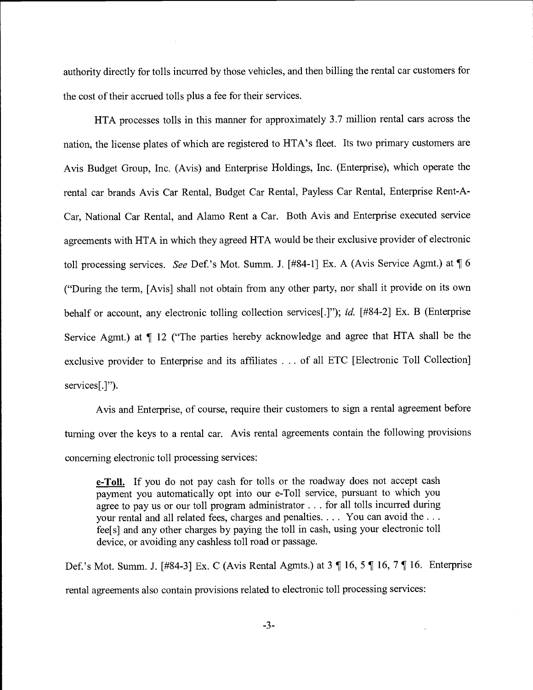authority directly for tolls incurred by those vehicles, and then billing the rental car customers for the cost of their accrued tolls plus a fee for their services.

HTA processes tolls in this manner for approximately 3.7 million rental cars across the nation, the license plates of which are registered to HTA's fleet. Its two primary customers are Avis Budget Group, Inc. (Avis) and Enterprise Holdings, Inc. (Enterprise), which operate the rental car brands Avis Car Rental, Budget Car Rental, Payless Car Rental, Enterprise Rent-A-Car, National Car Rental, and Alamo Rent a Car. Both Avis and Enterprise executed service agreements with HTA in which they agreed HTA would be their exclusive provider of electronic toll processing services. See Def.'s Mot. Summ. J. [#84-1] Ex. A (Avis Service Agmt.) at  $\P 6$ ("During the term, [Avis] shall not obtain from any other party, nor shall it provide on its own behalf or account, any electronic tolling collection services [.]"); id. [#84-2] Ex. B (Enterprise Service Agmt.) at ¶ 12 ("The parties hereby acknowledge and agree that HTA shall be the exclusive provider to Enterprise and its affiliates . . . of all ETC [Electronic Toll Collection] services[.]").

Avis and Enterprise, of course, require their customers to sign a rental agreement before turning over the keys to a rental car. Avis rental agreements contain the following provisions concerning electronic toll processing services:

e-Toll. If you do not pay cash for tolls or the roadway does not accept cash payment you automatically opt into our e-Toll service, pursuant to which you agree to pay us or our toll program administrator. . . for all tolls incurred during your rental and all related fees, charges and penalties. . . . You can avoid the . . . fee[s] and any other charges by paying the toll in cash, using your electronic toll device, or avoiding any cashless toll road or passage.

Def.'s Mot. Summ. J. [#84-3] Ex. C (Avis Rental Agmts.) at 3 ¶ 16, 5 ¶ 16, 7 ¶ 16. Enterprise rental agreements also contain provisions related to electronic toll processing services: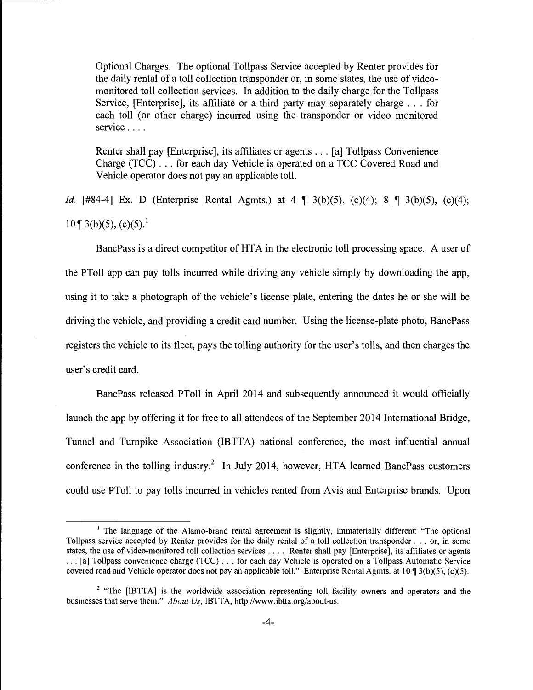Optional Charges. The optional Tollpass Service accepted by Renter provides for the daily rental of a toll collection transponder or, in some states, the use of videomonitored toll collection services. In addition to the daily charge for the Tollpass Service, [Enterprise], its affiliate or a third party may separately charge . . . for each toll (or other charge) incurred using the transponder or video monitored service . . . .

Renter shall pay [Enterprise], its affiliates or agents . . . [a] Tolipass Convenience Charge (TCC) . . . for each day Vehicle is operated on a TCC Covered Road and Vehicle operator does not pay an applicable toll.

*Id.* [#84-4] Ex. D (Enterprise Rental Agmts.) at  $4 \sqrt{3} (b)(5)$ , (c)(4);  $8 \sqrt{3} (b)(5)$ , (c)(4);  $10 \sqrt{3}$  3(b)(5), (c)(5).<sup>1</sup>

BancPass is a direct competitor of HTA in the electronic toll processing space. A user of the PToll app can pay tolls incurred while driving any vehicle simply by downloading the app, using it to take a photograph of the vehicle's license plate, entering the dates he or she will be driving the vehicle, and providing a credit card number. Using the license-plate photo, BancPass registers the vehicle to its fleet, pays the tolling authority for the user's tolls, and then charges the user's credit card.

BancPass released PTo11 in April 2014 and subsequently announced it would officially launch the app by offering it for free to all attendees of the September 2014 International Bridge, Tunnel and Turnpike Association (IBTTA) national conference, the most influential annual conference in the tolling industry.<sup>2</sup> In July 2014, however, HTA learned BancPass customers could use PTo11 to pay tolls incurred in vehicles rented from Avis and Enterprise brands. Upon

<sup>&</sup>lt;sup>1</sup> The language of the Alamo-brand rental agreement is slightly, immaterially different: "The optional Tollpass service accepted by Renter provides for the daily rental of a toll collection transponder . . . or, in some states, the use of video-monitored toll collection services . . . . Renter shall pay [Enterprise], its affiliates or agents ... [a] Tollpass convenience charge (TCC) ... for each day Vehicle is operated on a Tollpass Automatic Service covered road and Vehicle operator does not pay an applicable toll." Enterprise Rental Agmts. at 10 ¶ 3(b)(5), (c)(5).

<sup>&</sup>lt;sup>2</sup> "The [IBTTA] is the worldwide association representing toll facility owners and operators and the businesses that serve them." About Us, IBTTA, http://www.ibtta.org/about-us.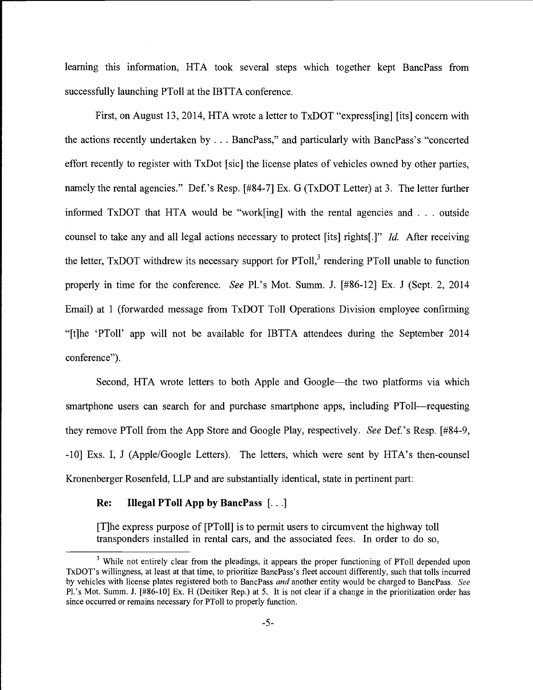learning this information, HTA took several steps which together kept BancPass from successfully launching PToll at the IBTTA conference.

First, on August 13, 2014, HTA wrote a letter to TxDOT "express[ing] [its] concern with the actions recently undertaken by . . . BancPass," and particularly with BancPass's "concerted effort recently to register with TxDot [sic] the license plates of vehicles owned by other parties, namely the rental agencies." Def.'s Resp. [#84-7] Ex. G (TxDOT Letter) at 3. The letter further informed TxDOT that HTA would be "work[ing] with the rental agencies and . . . outside counsel to take any and all legal actions necessary to protect [its] rights[.]" Id. After receiving the letter, TxDOT withdrew its necessary support for PToll,<sup>3</sup> rendering PToll unable to function properly in time for the conference. See Pl.'s Mot. Summ. J. [#86-12] Ex. J (Sept. 2, 2014 Email) at 1 (forwarded message from TxDOT Toll Operations Division employee confirming "[t]he 'PTo11' app will not be available for IBTTA attendees during the September 2014 conference").

Second, HTA wrote letters to both Apple and Google—the two platforms via which smartphone users can search for and purchase smartphone apps, including PToll—requesting they remove PToll from the App Store and Google Play, respectively. See Def.'s Resp. [#84-9, -10] Exs. I, J (Apple/Google Letters). The letters, which were sent by HTA's then-counsel Kronenberger Rosenfeld, LLP and are substantially identical, state in pertinent part:

# Re: Illegal PToll App by BancPass [...]

{T]he express purpose of [PToll] is to permit users to circumvent the highway toll transponders installed in rental cars, and the associated fees. In order to do so,

<sup>&</sup>lt;sup>3</sup> While not entirely clear from the pleadings, it appears the proper functioning of PToll depended upon TxDOT's willingness, at least at that time, to prioritize BancPass's fleet account differently, such that tolls incurred by vehicles with license plates registered both to BancPass and another entity would be charged to BancPass. See Pl.'s Mot. Summ. J. [#86-10] Ex. H (Deitiker Rep.) at 5. It is not clear if a change in the prioritization order has since occurred or remains necessary for PTo11 to properly function.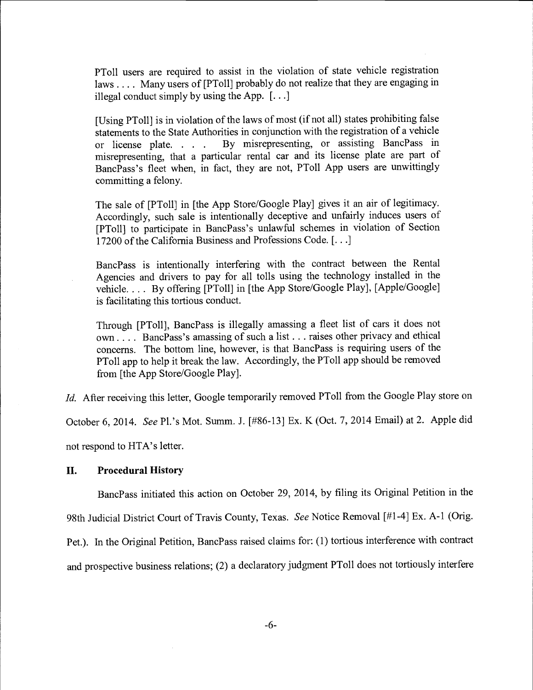PTo11 users are required to assist in the violation of state vehicle registration laws.... Many users of [PToII] probably do not realize that they are engaging in illegal conduct simply by using the App.  $[\dots]$ 

[Using PToll] is in violation of the laws of most (if not all) states prohibiting false statements to the State Authorities in conjunction with the registration of a vehicle<br>or license plate... By misrepresenting, or assisting BancPass in By misrepresenting, or assisting BancPass in misrepresenting, that a particular rental car and its license plate are part of BancPass's fleet when, in fact, they are not, PTo11 App users are unwittingly committing a felony.

The sale of [PTo11] in [the App Store/Google Play] gives it an air of legitimacy. Accordingly, such sale is intentionally deceptive and unfairly induces users of [PT011] to participate in BancPass's unlawful schemes in violation of Section 17200 of the California Business and Professions Code. [...]

BancPass is intentionally interfering with the contract between the Rental Agencies and drivers to pay for all tolls using the technology installed in the vehicle. . . . By offering [PToll] in [the App Store/Google Play], [Apple/Google] is facilitating this tortious conduct.

Through [PTo11], BancPass is illegally amassing a fleet list of cars it does not own.... BancPass's amassing of such a list... raises other privacy and ethical concerns. The bottom line, however, is that BancPass is requiring users of the PToI1 app to help it break the law. Accordingly, the PToI1 app should be removed from [the App Store/Google Play].

Id. After receiving this letter, Google temporarily removed PToll from the Google Play store on

October 6, 2014. See Pl.'s Mot. Summ. J. [#86-13] Ex. K (Oct. 7, 2014 Email) at 2. Apple did

not respond to HTA's letter.

#### II. Procedural History

BancPass initiated this action on October 29, 2014, by filing its Original Petition in the

98th Judicial District Court of Travis County, Texas. See Notice Removal [#1-4] Ex. A-1 (Orig.

Pet.). In the Original Petition, BancPass raised claims for: (1) tortious interference with contract

and prospective business relations; (2) a declaratory judgment PTo11 does not tortiously interfere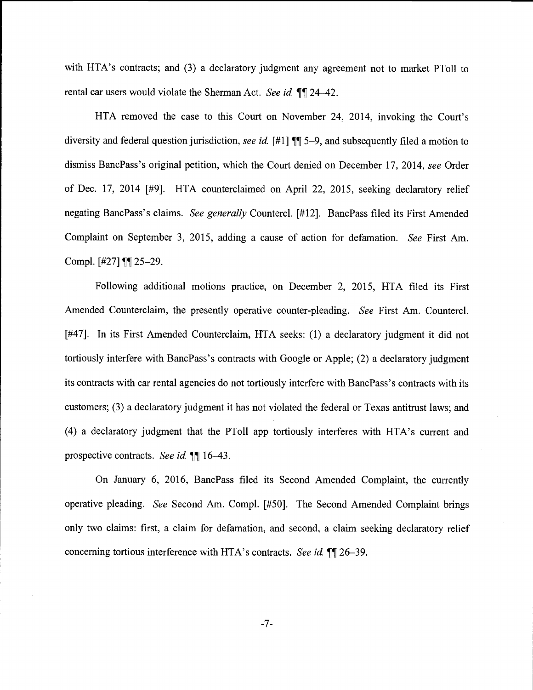with HTA's contracts; and  $(3)$  a declaratory judgment any agreement not to market PToll to rental car users would violate the Sherman Act. See id.  $\P$ [124-42.

HTA removed the case to this Court on November 24, 2014, invoking the Court's diversity and federal question jurisdiction, see id.  $[#1]$  ¶ 5-9, and subsequently filed a motion to dismiss BancPass's original petition, which the Court denied on December 17, 2014, see Order of Dec. 17, 2014 [#9]. HTA counterclaimed on April 22, 2015, seeking declaratory relief negating BancPass's claims. See generally Countercl. [#12]. BancPass filed its First Amended Complaint on September 3, 2015, adding a cause of action for defamation. See First Am. Compl.  $[#27]$  ¶ 25-29.

Following additional motions practice, on December 2, 2015, HTA filed its First Amended Counterclaim, the presently operative counter-pleading. See First Am. Countercl. [#47]. In its First Amended Counterclaim, HTA seeks: (1) a declaratory judgment it did not tortiously interfere with BancPass's contracts with Google or Apple; (2) a declaratory judgment its contracts with car rental agencies do not tortiously interfere with BancPass' s contracts with its customers; (3) a declaratory judgment it has not violated the federal or Texas antitrust laws; and (4) a declaratory judgment that the PToll app tortiously interferes with HTA's current and prospective contracts. See id.  $\P$ [16-43.

On January 6, 2016, BancPass filed its Second Amended Complaint, the currently operative pleading. See Second Am. Compl. [#50]. The Second Amended Complaint brings only two claims: first, a claim for defamation, and second, a claim seeking declaratory relief concerning tortious interference with HTA's contracts. See id.  $\P$ [26-39.

-7-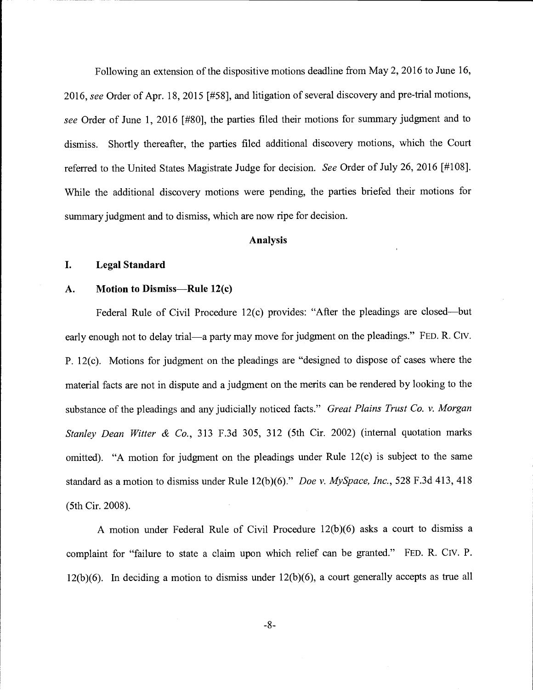Following an extension of the dispositive motions deadline from May 2, 2016 to June 16, 2016, see Order of Apr. 18, 2015 [#58], and litigation of several discovery and pre-trial motions, see Order of June 1, 2016 [#80], the parties filed their motions for summary judgment and to dismiss. Shortly thereafter, the parties filed additional discovery motions, which the Court referred to the United States Magistrate Judge for decision. See Order of July 26, 2016 [#108]. While the additional discovery motions were pending, the parties briefed their motions for summary judgment and to dismiss, which are now ripe for decision.

#### Analysis

#### I. Legal Standard

# A. Motion to Dismiss-Rule 12(c)

Federal Rule of Civil Procedure 12(c) provides: "After the pleadings are closed—but early enough not to delay trial—a party may move for judgment on the pleadings." FED. R. CIV. P. 12(c). Motions for judgment on the pleadings are "designed to dispose of cases where the material facts are not in dispute and a judgment on the merits can be rendered by looking to the substance of the pleadings and any judicially noticed facts." Great Plains Trust Co. v. Morgan Stanley Dean Witter & Co., 313 F.3d 305, 312 (5th Cir. 2002) (internal quotation marks omitted). "A motion for judgment on the pleadings under Rule 12(c) is subject to the same standard as a motion to dismiss under Rule 12(b)(6)." Doe v. MySpace, Inc., 528 F.3d 413, 418 (5th Cir. 2008).

A motion under Federal Rule of Civil Procedure 12(b)(6) asks a court to dismiss a complaint for "failure to state a claim upon which relief can be granted." FED. R. CIV. P. 12(b)(6). In deciding a motion to dismiss under 12(b)(6), a court generally accepts as true all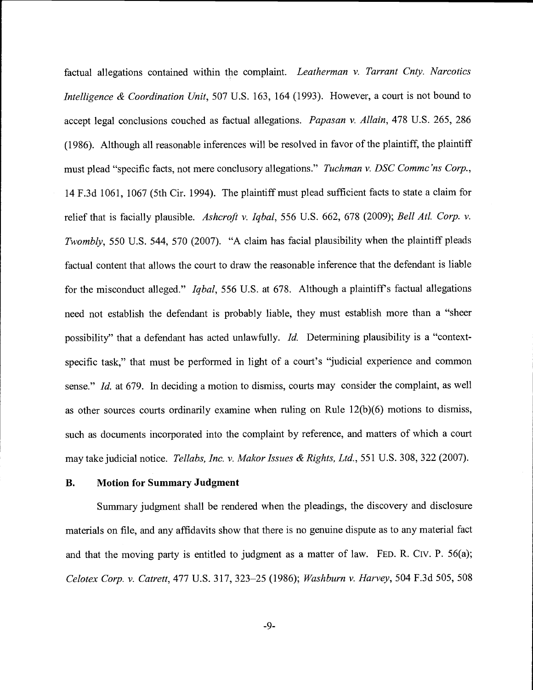factual allegations contained within the complaint. Leatherman v. Tarrant Cnty. Narcotics Intelligence & Coordination Unit, 507 U.S. 163, 164 (1993). However, a court is not bound to accept legal conclusions couched as factual allegations. Papasan v. Allain, 478 U.S. 265, 286 (1986). Although all reasonable inferences will be resolved in favor of the plaintiff, the plaintiff must plead "specific facts, not mere conclusory allegations." Tuchman v. DSC Commc'ns Corp., 14 F.3d 1061, 1067 (5th Cir. 1994). The plaintiff must plead sufficient facts to state a claim for relief that is facially plausible. Ashcroft v. Iqbal, 556 U.S. 662, 678 (2009); Bell Atl. Corp. v. Twombly, 550 U.S. 544, 570 (2007). "A claim has facial plausibility when the plaintiff pleads factual content that allows the court to draw the reasonable inference that the defendant is liable for the misconduct alleged." *Iqbal*, 556 U.S. at 678. Although a plaintiff's factual allegations need not establish the defendant is probably liable, they must establish more than a "sheer possibility" that a defendant has acted unlawfully. Id. Determining plausibility is a "contextspecific task," that must be performed in light of a court's "judicial experience and common sense." Id. at 679. In deciding a motion to dismiss, courts may consider the complaint, as well as other sources courts ordinarily examine when ruling on Rule  $12(b)(6)$  motions to dismiss, such as documents incorporated into the complaint by reference, and matters of which a court may take judicial notice. Tellabs, Inc. v. Makor Issues & Rights, Ltd., 551 U.S. 308, 322 (2007).

#### B. Motion for Summary Judgment

Summary judgment shall be rendered when the pleadings, the discovery and disclosure materials on file, and any affidavits show that there is no genuine dispute as to any material fact and that the moving party is entitled to judgment as a matter of law. FED. R. Civ. P. 56(a); Celotex Corp. v. Catrett, 477 U.S. 317, 323-25 (1986); Washburn v. Harvey, 504 F.3d 505, 508

 $-9-$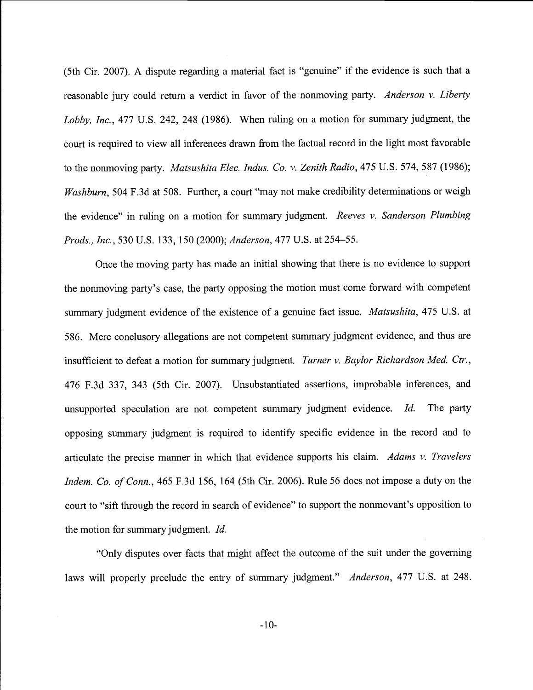(5th Cir. 2007). A dispute regarding a material fact is "genuine" if the evidence is such that a reasonable jury could return a verdict in favor of the nonmoving party. Anderson v. Liberty Lobby, Inc., 477 U.S. 242, 248 (1986). When ruling on a motion for summary judgment, the court is required to view all inferences drawn from the factual record in the light most favorable to the nonmoving party. Matsushita Elec. Indus. Co. v. Zenith Radio, 475 U.S. 574, 587 (1986); Washburn, 504 F.3d at 508. Further, a court "may not make credibility determinations or weigh the evidence" in ruling on a motion for summary judgment. Reeves  $v$ . Sanderson Plumbing Prods., Inc., 530 U.S. 133, 150 (2000); Anderson, 477 U.S. at 254-55.

Once the moving party has made an initial showing that there is no evidence to support the nonmoving party's case, the party opposing the motion must come forward with competent summary judgment evidence of the existence of a genuine fact issue. *Matsushita*, 475 U.S. at 586. Mere conclusory allegations are not competent summary judgment evidence, and thus are insufficient to defeat a motion for summary judgment. Turner v. Baylor Richardson Med. Ctr., 476 F.3d 337, 343 (5th Cir. 2007). Unsubstantiated assertions, improbable inferences, and unsupported speculation are not competent summary judgment evidence. Id. The party opposing summary judgment is required to identify specific evidence in the record and to articulate the precise manner in which that evidence supports his claim. Adams  $v$ . Travelers Indem. Co. of Conn., 465 F.3d 156, 164 (5th Cir. 2006). Rule 56 does not impose a duty on the court to "sift through the record in search of evidence" to support the nonmovant's opposition to the motion for summary judgment. Id.

"Only disputes over facts that might affect the outcome of the suit under the governing laws will properly preclude the entry of summary judgment." *Anderson*, 477 U.S. at 248.

-10-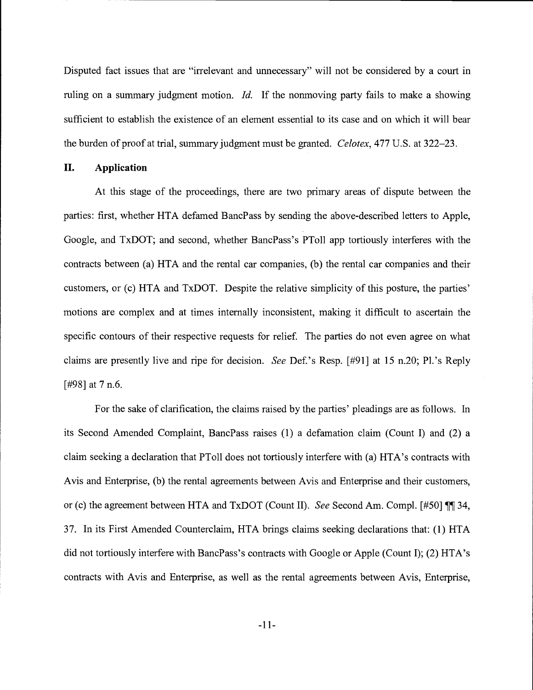Disputed fact issues that are "irrelevant and unnecessary" will not be considered by a court in ruling on a summary judgment motion. *Id*. If the nonmoving party fails to make a showing sufficient to establish the existence of an element essential to its case and on which it will bear the burden of proof at trial, summary judgment must be granted. Celotex, 477 U.S. at 322–23.

#### II. Application

At this stage of the proceedings, there are two primary areas of dispute between the parties: first, whether HTA defamed BancPass by sending the above-described letters to Apple, Google, and TxDOT; and second, whether BancPass's PToll app tortiously interferes with the contracts between (a) HTA and the rental car companies, (b) the rental car companies and their customers, or (c) HTA and TxDOT. Despite the relative simplicity of this posture, the parties' motions are complex and at times internally inconsistent, making it difficult to ascertain the specific contours of their respective requests for relief. The parties do not even agree on what claims are presently live and ripe for decision. See Def.'s Resp. [#91] at 15 n.20; Pl.'s Reply [#98] at 7 n.6.

For the sake of clarification, the claims raised by the parties' pleadings are as follows. In its Second Amended Complaint, BancPass raises (1) a defamation claim (Count I) and (2) a claim seeking a declaration that PTo11 does not tortiously interfere with (a) HTA's contracts with Avis and Enterprise, (b) the rental agreements between Avis and Enterprise and their customers, or (c) the agreement between HTA and TxDOT (Count II). See Second Am. Compl. [#50]  $\P$  34, 37. In its First Amended Counterclaim, HTA brings claims seeking declarations that: (1) HTA did not tortiously interfere with BancPass's contracts with Google or Apple (Count I); (2) HTA's contracts with Avis and Enterprise, as well as the rental agreements between Avis, Enterprise,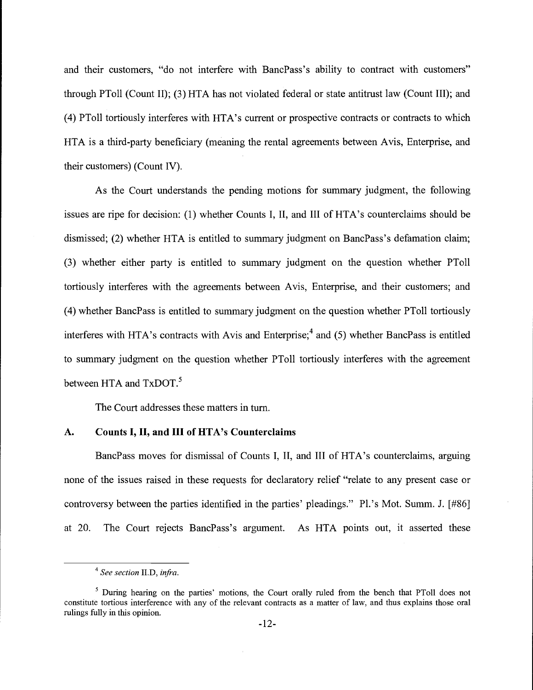and their customers, "do not interfere with BancPass's ability to contract with customers" through PTo11 (Count II); (3) HTA has not violated federal or state antitrust law (Count III); and (4) PToll tortiously interferes with HTA's current or prospective contracts or contracts to which HTA is a third-party beneficiary (meaning the rental agreements between Avis, Enterprise, and their customers) (Count IV).

As the Court understands the pending motions for summary judgment, the following issues are ripe for decision: (1) whether Counts I, II, and III of HTA's counterclaims should be dismissed; (2) whether HTA is entitled to summary judgment on BancPass's defamation claim; (3) whether either party is entitled to summary judgment on the question whether PTo11 tortiously interferes with the agreements between Avis, Enterprise, and their customers; and (4) whether BancPass is entitled to summary judgment on the question whether PToll tortiously interferes with HTA's contracts with Avis and Enterprise;<sup>4</sup> and (5) whether BancPass is entitled to summary judgment on the question whether PTo11 tortiously interferes with the agreement between HTA and TxDOT.<sup>5</sup>

The Court addresses these matters in turn.

## A. Counts I, II, and III of HTA's Counterclaims

BancPass moves for dismissal of Counts I, II, and III of HTA's counterclaims, arguing none of the issues raised in these requests for declaratory relief "relate to any present case or controversy between the parties identified in the parties' pleadings." Pl.'s Mot. Summ. J. [#86] at 20. The Court rejects BancPass's argument. As HTA points out, it asserted these

<sup>&</sup>lt;sup>4</sup> See section II.D, infra.

<sup>&</sup>lt;sup>5</sup> During hearing on the parties' motions, the Court orally ruled from the bench that PToll does not constitute tortious interference with any of the relevant contracts as a matter of law, and thus explains those oral rulings fully in this opinion.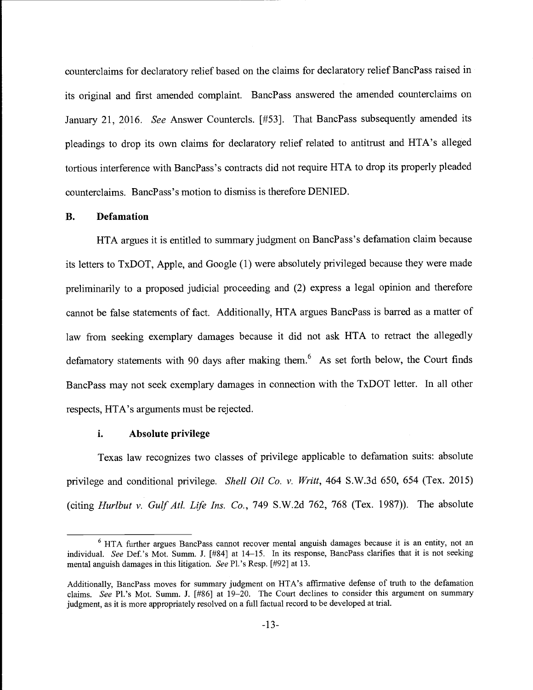counterclaims for declaratory relief based on the claims for declaratory relief BancPass raised in its original and first amended complaint. BancPass answered the amended counterclaims on January 21, 2016. See Answer Countercls. [#53]. That BancPass subsequently amended its pleadings to drop its own claims for declaratory relief related to antitrust and HTA's alleged tortious interference with BancPass's contracts did not require HTA to drop its properly pleaded counterclaims. BancPass's motion to dismiss is therefore DENIED.

# B. Defamation

HTA argues it is entitled to summary judgment on BancPass's defamation claim because its letters to TxDOT, Apple, and Google (1) were absolutely privileged because they were made preliminarily to a proposed judicial proceeding and (2) express a legal opinion and therefore cannot be false statements of fact. Additionally, HTA argues BancPass is barred as a matter of law from seeking exemplary damages because it did not ask HTA to retract the allegedly defamatory statements with 90 days after making them.<sup>6</sup> As set forth below, the Court finds BancPass may not seek exemplary damages in connection with the TxDOT letter. In all other respects, HTA's arguments must be rejected.

#### i. Absolute privilege

Texas law recognizes two classes of privilege applicable to defamation suits: absolute privilege and conditional privilege. Shell Oil Co. v. Writt, 464 S.W.3d 650, 654 (Tex. 2015) (citing Hurlbut v. Gulf Atl. Life Ins. Co., 749 S.W.2d 762, 768 (Tex. 1987)). The absolute

 $6$  HTA further argues BancPass cannot recover mental anguish damages because it is an entity, not an individual. See Def.'s Mot. Summ. J. [#84] at 14-15. In its response, BancPass clarifies that it is not seeking mental anguish damages in this litigation. See Pl.'s Resp. [#92] at 13.

Additionally, BancPass moves for summary judgment on HTA's affirmative defense of truth to the defamation claims. See P1's Mot. Summ. J. [#86] at 19-20. The Court declines to consider this argument on summary judgment, as it is more appropriately resolved on a full factual record to be developed at trial.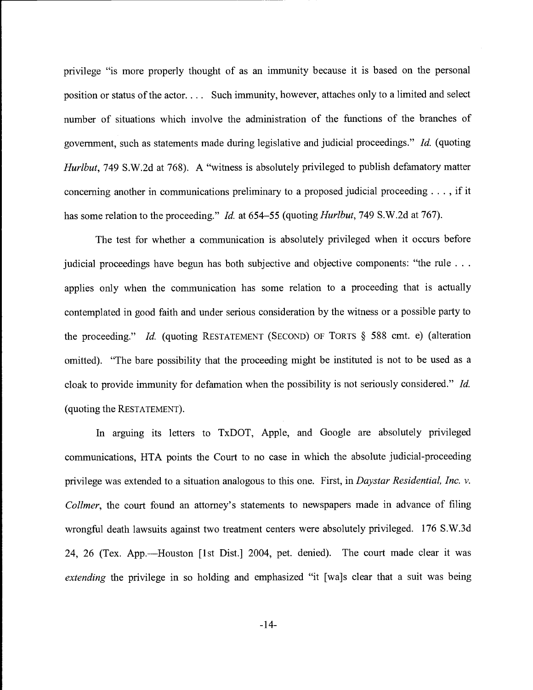privilege "is more properly thought of as an immunity because it is based on the personal position or status of the actor. . . . Such immunity, however, attaches only to a limited and select number of situations which involve the administration of the functions of the branches of government, such as statements made during legislative and judicial proceedings." Id. (quoting Hurlbut, 749 S.W.2d at 768). A "witness is absolutely privileged to publish defamatory matter concerning another in communications preliminary to a proposed judicial proceeding. . . , if it has some relation to the proceeding." *Id.* at 654–55 (quoting *Hurlbut*, 749 S.W.2d at 767).

The test for whether a communication is absolutely privileged when it occurs before judicial proceedings have begun has both subjective and objective components: "the rule ... applies only when the communication has some relation to a proceeding that is actually contemplated in good faith and under serious consideration by the witness or a possible party to the proceeding." Id. (quoting RESTATEMENT (SECOND) OF TORTS § 588 cmt. e) (alteration omitted). "The bare possibility that the proceeding might be instituted is not to be used as a cloak to provide immunity for defamation when the possibility is not seriously considered." Id. (quoting the RESTATEMENT).

In arguing its letters to TxDOT, Apple, and Google are absolutely privileged communications, HTA points the Court to no case in which the absolute judicial-proceeding privilege was extended to a situation analogous to this one. First, in Daystar Residential, Inc. v. Collmer, the court found an attorney's statements to newspapers made in advance of filing wrongful death lawsuits against two treatment centers were absolutely privileged. 176 S.W.3d 24, 26 (Tex. App.—Houston [1st Dist.] 2004, pet. denied). The court made clear it was extending the privilege in so holding and emphasized "it [wa]s clear that a suit was being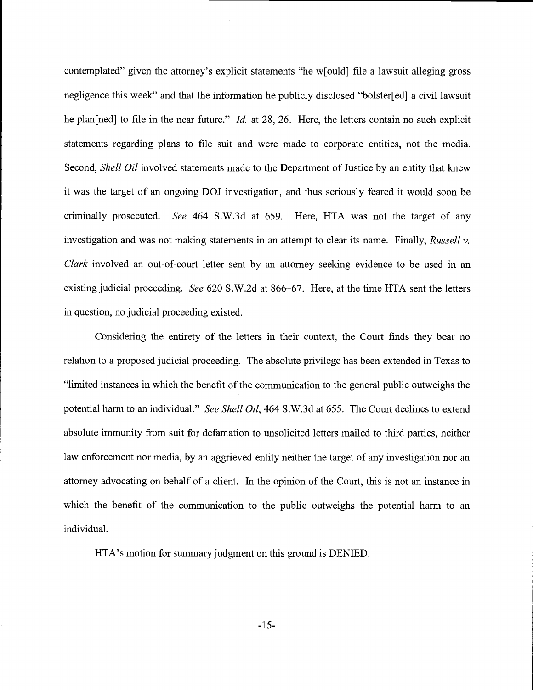contemplated" given the attorney's explicit statements "he w[ould] file a lawsuit alleging gross negligence this week" and that the information he publicly disclosed "bolster[ed] a civil lawsuit he plan[ned] to file in the near future." *Id.* at 28, 26. Here, the letters contain no such explicit statements regarding plans to file suit and were made to corporate entities, not the media. Second, *Shell Oil* involved statements made to the Department of Justice by an entity that knew it was the target of an ongoing DOJ investigation, and thus seriously feared it would soon be criminally prosecuted. See 464 S.W.3d at 659. Here, HTA was not the target of any investigation and was not making statements in an attempt to clear its name. Finally, Russell  $v$ . Clark involved an out-of-court letter sent by an attorney seeking evidence to be used in an existing judicial proceeding. See 620 S.W.2d at 866–67. Here, at the time HTA sent the letters in question, no judicial proceeding existed.

Considering the entirety of the letters in their context, the Court finds they bear no relation to a proposed judicial proceeding. The absolute privilege has been extended in Texas to "limited instances in which the benefit of the communication to the general public outweighs the potential harm to an individual." See Shell Oil, 464 S.W.3d at 655. The Court declines to extend absolute immunity from suit for defamation to unsolicited letters mailed to third parties, neither law enforcement nor media, by an aggrieved entity neither the target of any investigation nor an attorney advocating on behalf of a client. In the opinion of the Court, this is not an instance in which the benefit of the communication to the public outweighs the potential harm to an individual.

HTA's motion for summary judgment on this ground is DENIED.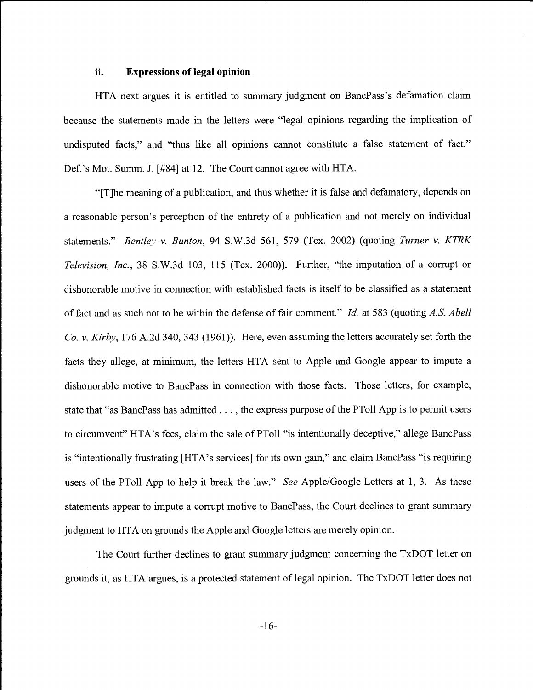#### ii. Expressions of legal opinion

HTA next argues it is entitled to summary judgment on BancPass's defamation claim because the statements made in the letters were "legal opinions regarding the implication of undisputed facts," and "thus like all opinions cannot constitute a false statement of fact." Def.'s Mot. Summ. J. [#84] at 12. The Court cannot agree with HTA.

"[T]he meaning of a publication, and thus whether it is false and defamatory, depends on a reasonable person's perception of the entirety of a publication and not merely on individual statements." Bentley v. Bunton, 94 S.W.3d 561, 579 (Tex. 2002) (quoting Turner v. KTRK Television, Inc., 38 S.W.3d 103, 115 (Tex. 2000)). Further, "the imputation of a corrupt or dishonorable motive in connection with established facts is itself to be classified as a statement of fact and as such not to be within the defense of fair comment." Id. at 583 (quoting A.S. Abell Co. v. Kirby, 176 A.2d 340, 343 (1961)). Here, even assuming the letters accurately set forth the facts they allege, at minimum, the letters HTA sent to Apple and Google appear to impute a dishonorable motive to BancPass in connection with those facts. Those letters, for example, state that "as BancPass has admitted. . . , the express purpose of the PTo11 App is to permit users to circumvent" HTA's fees, claim the sale of PTo11 "is intentionally deceptive," allege BancPass is "intentionally frustrating [HTA's services] for its own gain," and claim BancPass "is requiring users of the PToll App to help it break the law." See Apple/Google Letters at 1, 3. As these statements appear to impute a corrupt motive to BancPass, the Court declines to grant summary judgment to HTA on grounds the Apple and Google letters are merely opinion.

The Court further declines to grant summary judgment concerning the TxDOT letter on grounds it, as HTA argues, is a protected statement of legal opinion. The TxDOT letter does not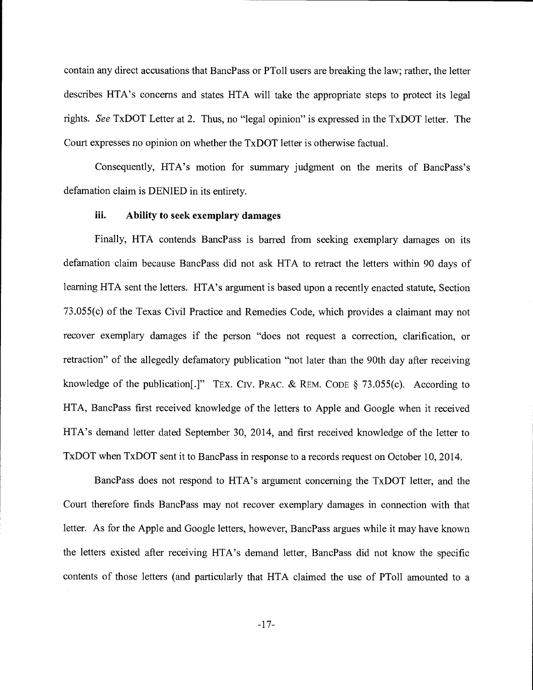contain any direct accusations that BancPass or PToll users are breaking the law; rather, the letter describes HTA's concerns and states HTA will take the appropriate steps to protect its legal rights. See TxDOT Letter at 2. Thus, no "legal opinion" is expressed in the TxDOT letter. The Court expresses no opinion on whether the TxDOT letter is otherwise factual.

Consequently, HTA's motion for summary judgment on the merits of BancPass's defamation claim is DENIED in its entirety.

## iii. Ability to seek exemplary damages

Finally, HTA contends BancPass is barred from seeking exemplary damages on its defamation claim because BancPass did not ask HTA to retract the letters within 90 days of learning HTA sent the letters. HTA's argument is based upon a recently enacted statute, Section 73.055(c) of the Texas Civil Practice and Remedies Code, which provides a claimant may not recover exemplary damages if the person "does not request a correction, clarification, or retraction" of the allegedly defamatory publication "not later than the 90th day after receiving knowledge of the publication[.]" TEX. CIV. PRAc. & REM. CODE § 73.055(c). According to HTA, BancPass first received knowledge of the letters to Apple and Google when it received HTA's demand letter dated September 30, 2014, and first received knowledge of the letter to TxDOT when TxDOT sent it to BancPass in response to a records request on October 10, 2014.

BancPass does not respond to HTA's argument concerning the TxDOT letter, and the Court therefore finds BancPass may not recover exemplary damages in connection with that letter. As for the Apple and Google letters, however, BancPass argues while it may have known the letters existed after receiving HTA's demand letter, BancPass did not know the specific contents of those letters (and particularly that HTA claimed the use of PToll amounted to a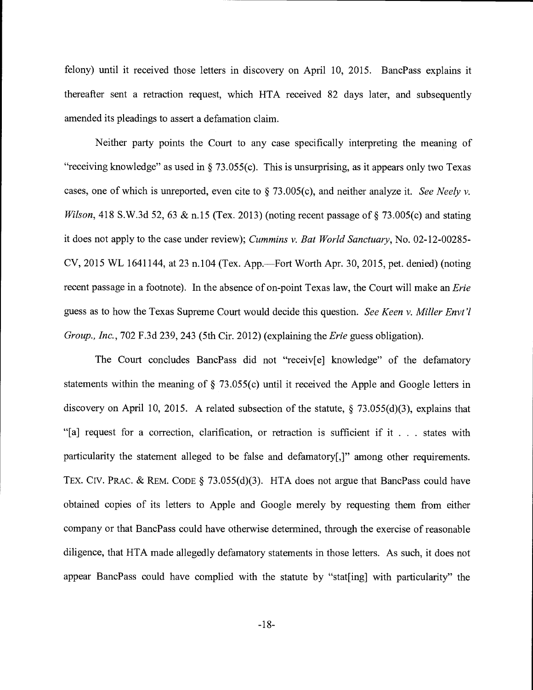felony) until it received those letters in discovery on April 10, 2015. BancPass explains it thereafter sent a retraction request, which HTA received 82 days later, and subsequently amended its pleadings to assert a defamation claim.

Neither party points the Court to any case specifically interpreting the meaning of "receiving knowledge" as used in  $\S$  73.055(c). This is unsurprising, as it appears only two Texas cases, one of which is unreported, even cite to  $\S$  73.005(c), and neither analyze it. See Neely v. Wilson, 418 S.W.3d 52, 63 & n.15 (Tex. 2013) (noting recent passage of  $\S$  73.005(c) and stating it does not apply to the case under review); Cummins v. Bat World Sanctuary, No. 02-12-00285-  $CV$ , 2015 WL 1641144, at 23 n.104 (Tex. App.—Fort Worth Apr. 30, 2015, pet. denied) (noting recent passage in a footnote). In the absence of on-point Texas law, the Court will make an *Erie* guess as to how the Texas Supreme Court would decide this question. See Keen v. Miller Envt'l Group., Inc., 702 F.3d 239, 243 (5th Cir. 2012) (explaining the *Erie* guess obligation).

The Court concludes BancPass did not "receiv[e] knowledge" of the defamatory statements within the meaning of § 73.055(c) until it received the Apple and Google letters in discovery on April 10, 2015. A related subsection of the statute, § 73.055(d)(3), explains that "[a] request for a correction, clarification, or retraction is sufficient if it . . . states with particularity the statement alleged to be false and defamatory[,]" among other requirements. TEX. CIV. PRAC. & REM. CODE § 73.055(d)(3). HTA does not argue that BancPass could have obtained copies of its letters to Apple and Google merely by requesting them from either company or that BancPass could have otherwise determined, through the exercise of reasonable diligence, that HTA made allegedly defamatory statements in those letters. As such, it does not appear BancPass could have complied with the statute by "stat[ing] with particularity" the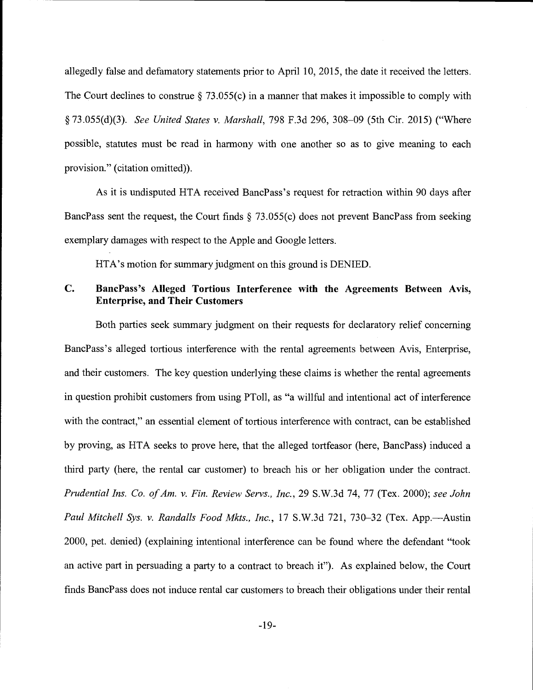allegedly false and defamatory statements prior to April 10, 2015, the date it received the letters. The Court declines to construe  $\S$  73.055(c) in a manner that makes it impossible to comply with § 73.055(d)(3). See United States v. Marshall, 798 F.3d 296, 308-09 (5th Cir. 2015) ("Where possible, statutes must be read in harmony with one another so as to give meaning to each provision." (citation omitted)).

As it is undisputed HTA received BancPass's request for retraction within 90 days after BancPass sent the request, the Court finds § 73.055(c) does not prevent BancPass from seeking exemplary damages with respect to the Apple and Google letters.

HTA's motion for summary judgment on this ground is DENIED.

# C. BancPass's Alleged Tortious Interference with the Agreements Between Avis, Enterprise, and Their Customers

Both parties seek summary judgment on their requests for declaratory relief concerning BancPass's alleged tortious interference with the rental agreements between Avis, Enterprise, and their customers. The key question underlying these claims is whether the rental agreements in question prohibit customers from using PTo1I, as "a willful and intentional act of interference with the contract," an essential element of tortious interference with contract, can be established by proving, as HTA seeks to prove here, that the alleged tortfeasor (here, BancPass) induced a third party (here, the rental car customer) to breach his or her obligation under the contract. Prudential Ins. Co. of Am. v. Fin. Review Servs., Inc., 29 S.W.3d 74, 77 (Tex. 2000); see John Paul Mitchell Sys. v. Randalls Food Mkts., Inc., 17 S.W.3d 721, 730-32 (Tex. App.--Austin 2000, pet. denied) (explaining intentional interference can be found where the defendant "took an active part in persuading a party to a contract to breach it"). As explained below, the Court finds BancPass does not induce rental car customers to breach their obligations under their rental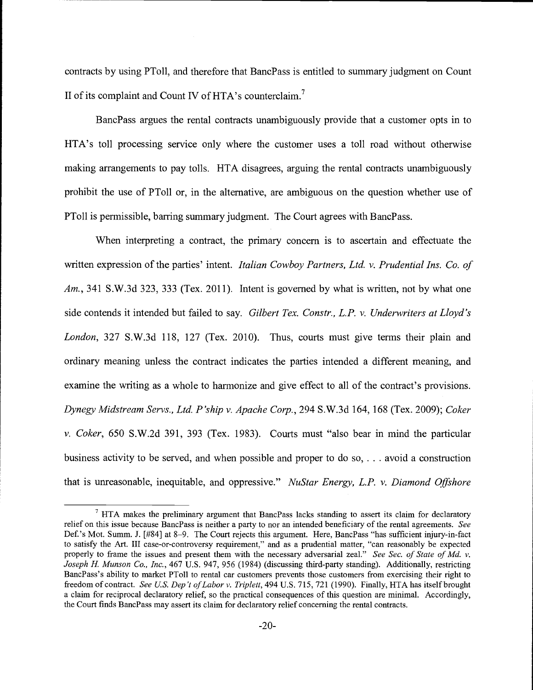contracts by using PToll, and therefore that BancPass is entitled to summary judgment on Count II of its complaint and Count IV of HTA's counterclaim.<sup>7</sup>

BancPass argues the rental contracts unambiguously provide that a customer opts in to HTA's toll processing service only where the customer uses a toll road without otherwise making arrangements to pay tolls. HTA disagrees, arguing the rental contracts unambiguously prohibit the use of PToll or, in the alternative, are ambiguous on the question whether use of PTo11 is permissible, barring summary judgment. The Court agrees with BancPass.

When interpreting a contract, the primary concern is to ascertain and effectuate the written expression of the parties' intent. *Italian Cowboy Partners, Ltd. v. Prudential Ins. Co. of*  $Am, 341$  S.W.3d 323, 333 (Tex. 2011). Intent is governed by what is written, not by what one side contends it intended but failed to say. Gilbert Tex. Constr., L.P. v. Underwriters at Lloyd's London, 327 S.W.3d 118, 127 (Tex. 2010). Thus, courts must give terms their plain and ordinary meaning unless the contract indicates the parties intended a different meaning, and examine the writing as a whole to harmonize and give effect to all of the contract's provisions. Dynegy Midstream Servs., Ltd. P'ship v. Apache Corp., 294 S.W.3d 164, 168 (Tex. 2009); Coker v. Coker, 650 S.W.2d 391, 393 (Tex. 1983). Courts must "also bear in mind the particular business activity to be served, and when possible and proper to do so, . . . avoid a construction that is unreasonable, inequitable, and oppressive." NuStar Energy, L.P. v. Diamond Offshore

 $\frac{7}{7}$  HTA makes the preliminary argument that BancPass lacks standing to assert its claim for declaratory relief on this issue because BancPass is neither a party to nor an intended beneficiary of the rental agreements. See Def. 's Mot. Summ. J. [#84] at 8-9. The Court rejects this argument. Here, BancPass "has sufficient injury-in-fact to satisfy the Art. III case-or-controversy requirement," and as a prudential matter, "can reasonably be expected properly to frame the issues and present them with the necessary adversarial zeal." See Sec. of State of Md. v. Joseph H. Munson Co., Inc., 467 U.S. 947, 956 (1984) (discussing third-party standing). Additionally, restricting BancPass's ability to market PTo11 to rental car customers prevents those customers from exercising their right to freedom of contract. See U.S. Dep't of Labor v. Triplett, 494 U.S. 715, 721 (1990). Finally, HTA has itself brought a claim for reciprocal declaratory relief, so the practical consequences of this question are minimal. Accordingly, the Court finds BancPass may assert its claim for declaratory relief concerning the rental contracts.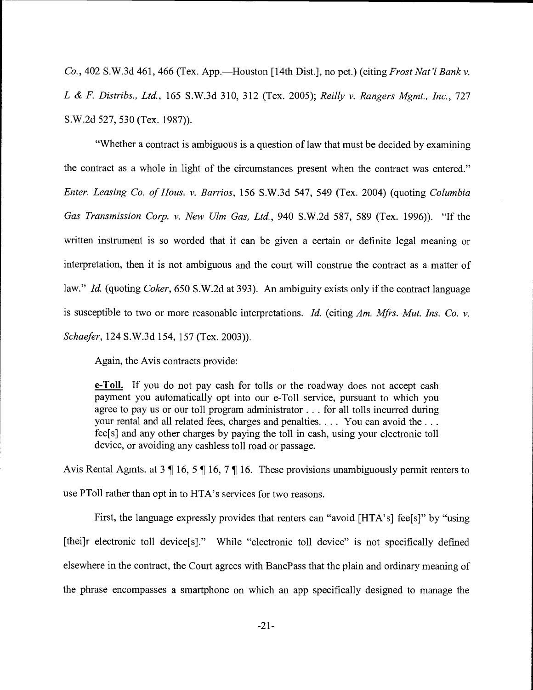Co., 402 S.W.3d 461, 466 (Tex. App.—Houston [14th Dist.], no pet.) (citing Frost Nat'l Bank v. L & F. Distribs., Ltd., 165 S.W.3d 310, 312 (Tex. 2005); Reilly v. Rangers Mgmt., Inc., 727 S.W.2d 527, 530 (Tex. 1987)).

"Whether a contract is ambiguous is a question of law that must be decided by examining the contract as a whole in light of the circumstances present when the contract was entered." Enter. Leasing Co. of Hous. v. Barrios, 156 S.W.3d 547, 549 (Tex. 2004) (quoting Columbia Gas Transmission Corp. v. New Ulm Gas, Ltd., 940 S.W.2d 587, 589 (Tex. 1996)). "If the written instrument is so worded that it can be given a certain or definite legal meaning or interpretation, then it is not ambiguous and the court will construe the contract as a matter of law." *Id.* (quoting *Coker*, 650 S.W.2d at 393). An ambiguity exists only if the contract language is susceptible to two or more reasonable interpretations. Id. (citing  $Am$ . Mfrs. Mut. Ins. Co. v. Schaefer, 124 S.W.3d 154, 157 (Tex. 2003)).

Again, the Avis contracts provide:

**e-Toll.** If you do not pay cash for tolls or the roadway does not accept cash payment you automatically opt into our e-Toll service, pursuant to which you agree to pay us or our toll program administrator. . . for all tolls incurred during your rental and all related fees, charges and penalties. . . . You can avoid the . . . fee[s] and any other charges by paying the toll in cash, using your electronic toll device, or avoiding any cashless toll road or passage.

Avis Rental Agmts. at 3 ¶ 16, 5 ¶ 16, 7 ¶ 16. These provisions unambiguously permit renters to use PTo11 rather than opt in to HTA's services for two reasons.

First, the language expressly provides that renters can "avoid [HTA's] fee[s]" by "using [thei]r electronic toll device[s]." While "electronic toll device" is not specifically defined elsewhere in the contract, the Court agrees with BancPass that the plain and ordinary meaning of the phrase encompasses a smartphone on which an app specifically designed to manage the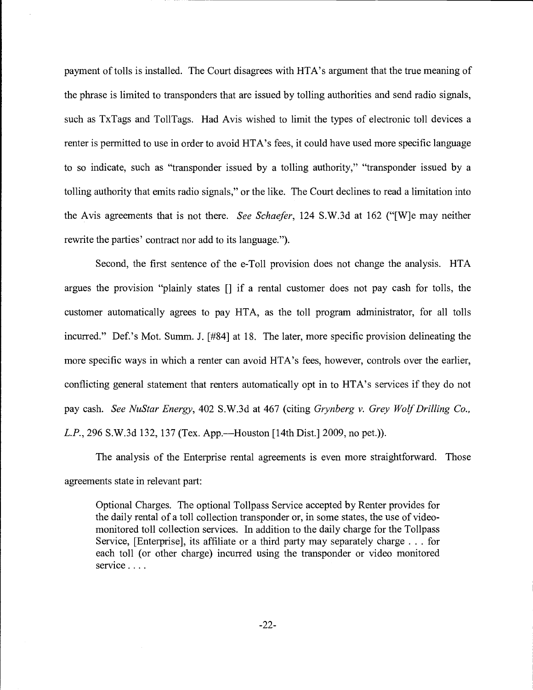payment of tolls is installed. The Court disagrees with HTA's argument that the true meaning of the phrase is limited to transponders that are issued by tolling authorities and send radio signals, such as TxTags and ToilTags. Had Avis wished to limit the types of electronic toll devices a renter is permitted to use in order to avoid HTA's fees, it could have used more specific language to so indicate, such as "transponder issued by a tolling authority," "transponder issued by a tolling authority that emits radio signals," or the like. The Court declines to read a limitation into the Avis agreements that is not there. See Schaefer, 124 S.W.3d at 162 ("[W]e may neither rewrite the parties' contract nor add to its language.").

Second, the first sentence of the e-Toll provision does not change the analysis. HTA argues the provision "plainly states [] if a rental customer does not pay cash for tolls, the customer automatically agrees to pay HTA, as the toll program administrator, for all tolls incurred." Def.'s Mot. Summ. J. [#84] at 18. The later, more specific provision delineating the more specific ways in which a renter can avoid HTA's fees, however, controls over the earlier, conflicting general statement that renters automatically opt in to HTA's services if they do not pay cash. See NuStar Energy, 402 S.W.3d at 467 (citing Grynberg v. Grey Wolf Drilling Co., L.P., 296 S.W.3d 132, 137 (Tex. App.—Houston [14th Dist.] 2009, no pet.)).

The analysis of the Enterprise rental agreements is even more straightforward. Those agreements state in relevant part:

Optional Charges. The optional Toilpass Service accepted by Renter provides for the daily rental of a toll collection transponder or, in some states, the use of videomonitored toll collection services. In addition to the daily charge for the Tollpass Service, [Enterprise], its affiliate or a third party may separately charge . . . for each toll (or other charge) incurred using the transponder or video monitored service . . . .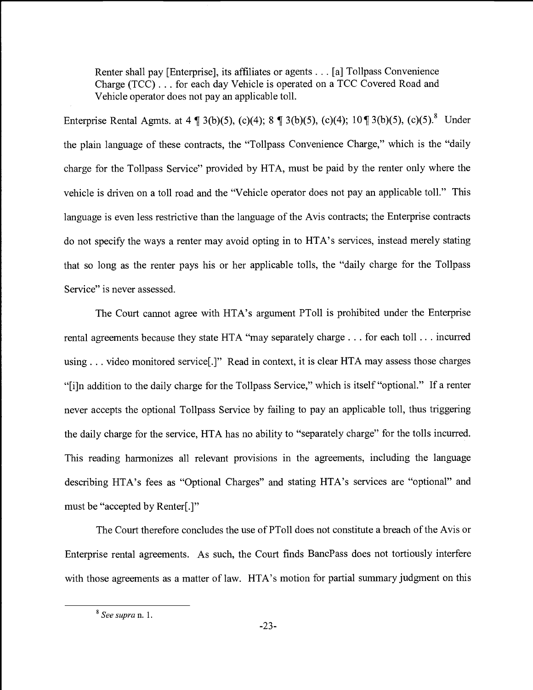Renter shall pay [Enterprise], its affiliates or agents . . . [a] Tollpass Convenience Charge (TCC). . . for each day Vehicle is operated on a TCC Covered Road and Vehicle operator does not pay an applicable toll.

Enterprise Rental Agmts. at 4  $\P$  3(b)(5), (c)(4); 8  $\P$  3(b)(5), (c)(4); 10 $\P$  3(b)(5), (c)(5). Under the plain language of these contracts, the "Tollpass Convenience Charge," which is the "daily charge for the Tollpass Service" provided by HTA, must be paid by the renter only where the vehicle is driven on a toll road and the "Vehicle operator does not pay an applicable toll." This language is even less restrictive than the language of the Avis contracts; the Enterprise contracts do not specify the ways a renter may avoid opting in to HTA's services, instead merely stating that so long as the renter pays his or her applicable tolls, the "daily charge for the Tollpass Service" is never assessed.

The Court cannot agree with HTA's argument PToll is prohibited under the Enterprise rental agreements because they state HTA "may separately charge . . . for each toll .. . incurred using. . . video monitored service[.]" Read in context, it is clear HTA may assess those charges "{i]n addition to the daily charge for the Tollpass Service," which is itself "optional." If a renter never accepts the optional Tolipass Service by failing to pay an applicable toll, thus triggering the daily charge for the service, HTA has no ability to "separately charge" for the tolls incurred. This reading harmonizes all relevant provisions in the agreements, including the language describing HTA's fees as "Optional Charges" and stating HTA's services are "optional" and must be "accepted by Renter[.]"

The Court therefore concludes the use of PTo11 does not constitute a breach of the Avis or Enterprise rental agreements. As such, the Court finds BancPass does not tortiously interfere with those agreements as a matter of law. HTA's motion for partial summary judgment on this

<sup>&</sup>lt;sup>8</sup> See supra n. 1.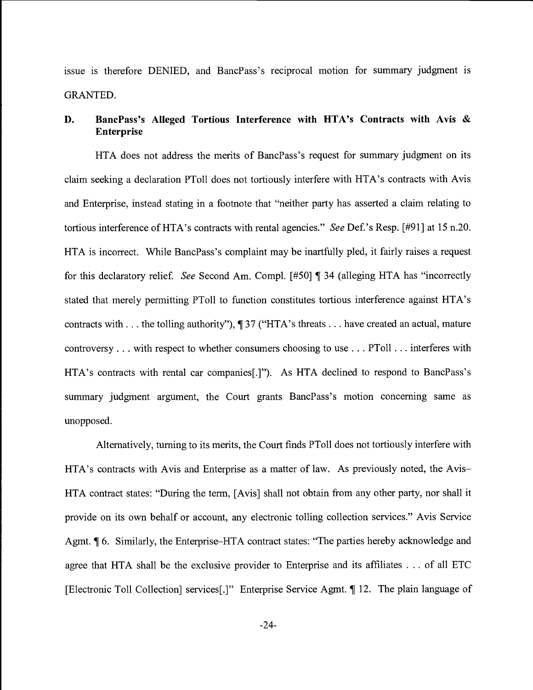issue is therefore DENIED, and BancPass's reciprocal motion for summary judgment is GRANTED.

# D. BancPass's Alleged Tortious Interference with HTA's Contracts with Avis & Enterprise

HTA does not address the merits of BancPass's request for summary judgment on its claim seeking a declaration PTo11 does not tortiously interfere with HTA's contracts with Avis and Enterprise, instead stating in a footnote that "neither party has asserted a claim relating to tortious interference of HTA's contracts with rental agencies." See Def.'s Resp. [#91] at 15 n.20. HTA is incorrect. While BancPass's complaint may be inartfully pled, it fairly raises a request for this declaratory relief. See Second Am. Compl.  $[#50]$  | 34 (alleging HTA has "incorrectly stated that merely permitting PToll to function constitutes tortious interference against HTA' s contracts with. . . the tolling authority"), ¶ 37 ("HTA's threats. . . have created an actual, mature controversy... with respect to whether consumers choosing to use ... PToll ... interferes with HTA's contracts with rental car companies[.]"). As HTA declined to respond to BancPass's summary judgment argument, the Court grants BancPass's motion concerning same as unopposed.

Alternatively, turning to its merits, the Court finds PToll does not tortiously interfere with HTA's contracts with Avis and Enterprise as a matter of law. As previously noted, the Avis-HTA contract states: "During the term, [Avis] shall not obtain from any other party, nor shall it provide on its own behalf or account, any electronic tolling collection services." Avis Service Agmt. ¶ 6. Similarly, the Enterprise–HTA contract states: "The parties hereby acknowledge and agree that HTA shall be the exclusive provider to Enterprise and its affiliates . . . of all ETC [Electronic Toll Collection] services[.]" Enterprise Service Agmt. ¶ 12. The plain language of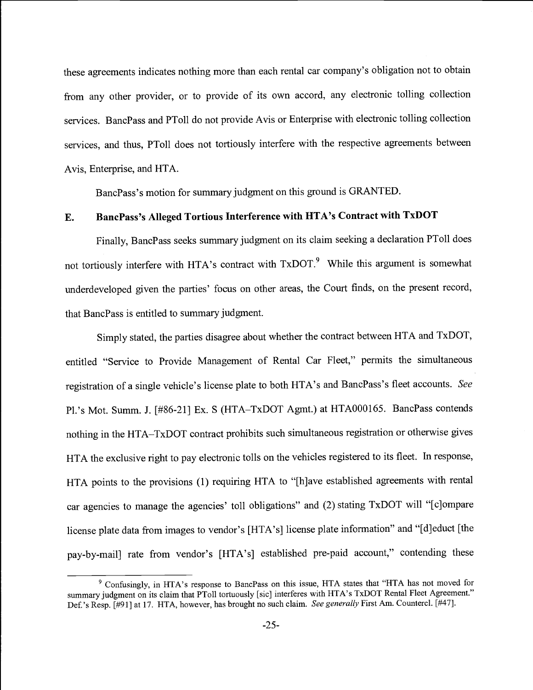these agreements indicates nothing more than each rental car company's obligation not to obtain from any other provider, or to provide of its own accord, any electronic tolling collection services. BancPass and PTo11 do not provide Avis or Enterprise with electronic tolling collection services, and thus, PToll does not tortiously interfere with the respective agreements between Avis, Enterprise, and HTA.

BancPass's motion for summary judgment on this ground is GRANTED.

# E. BancPass's Alleged Tortious Interference with HTA's Contract with TxDOT

Finally, BancPass seeks summary judgment on its claim seeking a declaration PTo11 does not tortiously interfere with HTA's contract with TxDOT.<sup>9</sup> While this argument is somewhat underdeveloped given the parties' focus on other areas, the Court finds, on the present record, that BancPass is entitled to summary judgment.

Simply stated, the parties disagree about whether the contract between HTA and TxDOT, entitled "Service to Provide Management of Rental Car Fleet," permits the simultaneous registration of a single vehicle's license plate to both HTA's and BancPass's fleet accounts. See Pl.'s Mot. Summ. J. [#86-21] Ex. S (HTA-TxDOT Agmt.) at HTA000165. BancPass contends nothing in the HTA-TxDOT contract prohibits such simultaneous registration or otherwise gives HTA the exclusive right to pay electronic tolls on the vehicles registered to its fleet. In response, HTA points to the provisions (1) requiring HTA to "[h]ave established agreements with rental car agencies to manage the agencies' toll obligations" and (2) stating TxDOT will "[c]ompare license plate data from images to vendor's [HTA's] license plate information" and "[d] educt [the pay-by-mail] rate from vendor's [HTA's] established pre-paid account," contending these

<sup>&</sup>lt;sup>9</sup> Confusingly, in HTA's response to BancPass on this issue, HTA states that "HTA has not moved for summary judgment on its claim that PToll tortuously [sic] interferes with HTA's TxDOT Rental Fleet Agreement." Def.'s Resp. [#91] at 17. HTA, however, has brought no such claim. See generally First Am. Countercl. [#47].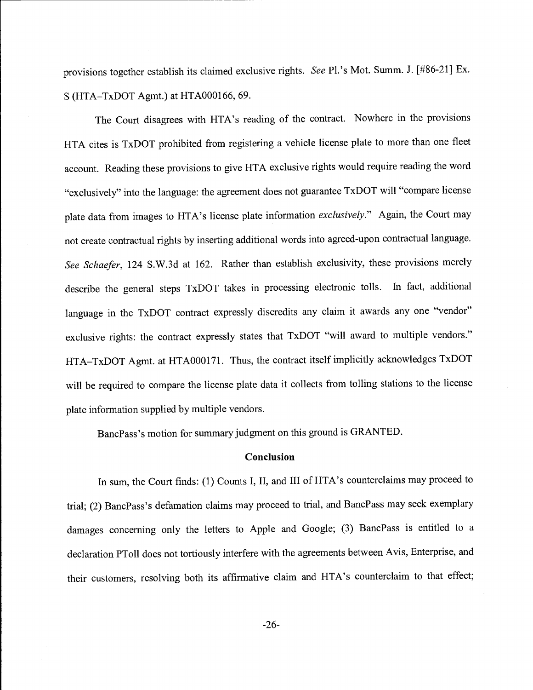provisions together establish its claimed exclusive rights. See Pl.'s Mot. Summ. J. [#86-21] Ex. S (HTA-TxDOT Agmt.) at HTA000166, 69.

The Court disagrees with HTA's reading of the contract. Nowhere in the provisions HTA cites is TxDOT prohibited from registering a vehicle license plate to more than one fleet account. Reading these provisions to give HTA exclusive rights would require reading the word "exclusively" into the language: the agreement does not guarantee TxDOT will "compare license plate data from images to HTA's license plate information exclusively." Again, the Court may not create contractual rights by inserting additional words into agreed-upon contractual language. See Schaefer, 124 S.W.3d at 162. Rather than establish exclusivity, these provisions merely describe the general steps TxDOT takes in processing electronic tolls. In fact, additional language in the TxDOT contract expressly discredits any claim it awards any one "vendor" exclusive rights: the contract expressly states that TxDOT "will award to multiple vendors." HTA-TxDOT Agmt. at HTA000171. Thus, the contract itself implicitly acknowledges TxDOT will be required to compare the license plate data it collects from tolling stations to the license plate information supplied by multiple vendors.

BancPass's motion for summary judgment on this ground is GRANTED.

#### **Conclusion**

In sum, the Court finds: (1) Counts I, II, and III of HTA's counterclaims may proceed to trial; (2) BancPass's defamation claims may proceed to trial, and BancPass may seek exemplary damages concerning only the letters to Apple and Google; (3) BancPass is entitled to a declaration PToII does not tortiously interfere with the agreements between Avis, Enterprise, and their customers, resolving both its affirmative claim and HTA's counterclaim to that effect;